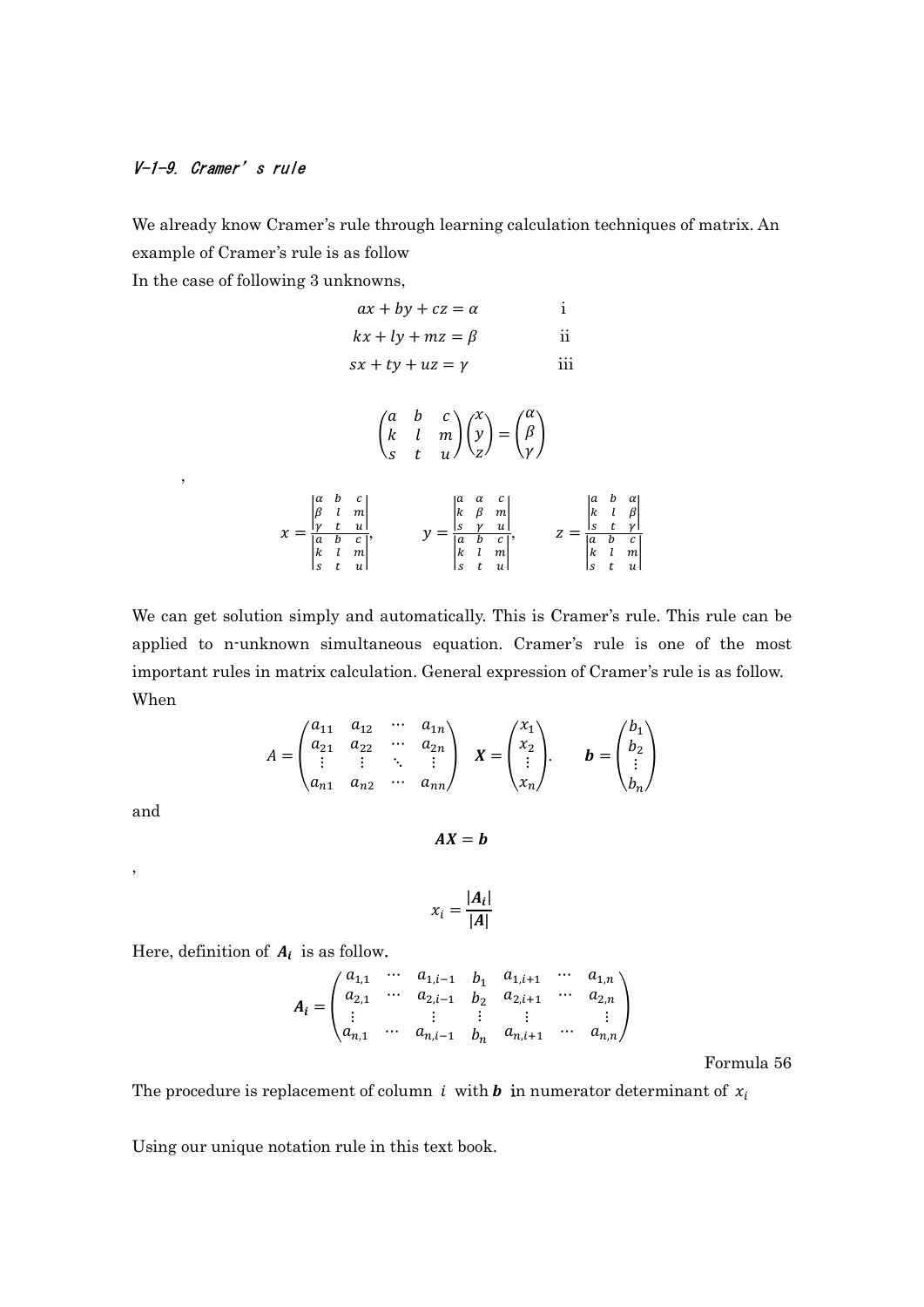## V-1-9. Cramer's rule

,

We already know Cramer's rule through learning calculation techniques of matrix. An example of Cramer's rule is as follow

In the case of following 3 unknowns,

 $\boldsymbol{\chi}$ 

$$
ax + by + cz = \alpha \qquad \text{i}
$$
\n
$$
kx + ly + mz = \beta \qquad \text{ii}
$$
\n
$$
sx + ty + uz = \gamma \qquad \text{iii}
$$
\n
$$
\begin{pmatrix} a & b & c \\ k & l & m \\ s & t & u \end{pmatrix} \begin{pmatrix} x \\ y \\ z \end{pmatrix} = \begin{pmatrix} \alpha \\ \beta \\ \gamma \end{pmatrix}
$$
\n
$$
= \begin{vmatrix} \alpha & b & c \\ \beta & l & m \\ \alpha & b & c \\ k & l & m \end{vmatrix}, \qquad y = \begin{vmatrix} a & \alpha & c \\ k & \beta & m \\ \frac{\alpha & b & c \\ \alpha & b & c \\ k & l & m \end{vmatrix}, \qquad z = \begin{vmatrix} a & b & \alpha \\ k & l & \beta \\ \frac{\alpha & b & c \\ \alpha & b & c \\ k & l & m \\ s & t & u \end{vmatrix}
$$

We can get solution simply and automatically. This is Cramer's rule. This rule can be applied to n-unknown simultaneous equation. Cramer's rule is one of the most important rules in matrix calculation. General expression of Cramer's rule is as follow. When

$$
A = \begin{pmatrix} a_{11} & a_{12} & \cdots & a_{1n} \\ a_{21} & a_{22} & \cdots & a_{2n} \\ \vdots & \vdots & \ddots & \vdots \\ a_{n1} & a_{n2} & \cdots & a_{nn} \end{pmatrix} \quad \boldsymbol{X} = \begin{pmatrix} x_1 \\ x_2 \\ \vdots \\ x_n \end{pmatrix} \quad \boldsymbol{b} = \begin{pmatrix} b_1 \\ b_2 \\ \vdots \\ b_n \end{pmatrix}
$$

and

,

 $AX = b$ 

$$
x_i = \frac{|A_i|}{|A|}
$$

Here, definition of  $A_i$  is as follow.

$$
A_i = \begin{pmatrix} a_{1,1} & \cdots & a_{1,i-1} & b_1 & a_{1,i+1} & \cdots & a_{1,n} \\ a_{2,1} & \cdots & a_{2,i-1} & b_2 & a_{2,i+1} & \cdots & a_{2,n} \\ \vdots & \vdots & \vdots & \vdots & & \vdots \\ a_{n,1} & \cdots & a_{n,i-1} & b_n & a_{n,i+1} & \cdots & a_{n,n} \end{pmatrix}
$$

Formula 56

The procedure is replacement of column *i* with *b* in numerator determinant of  $x_i$ 

Using our unique notation rule in this text book.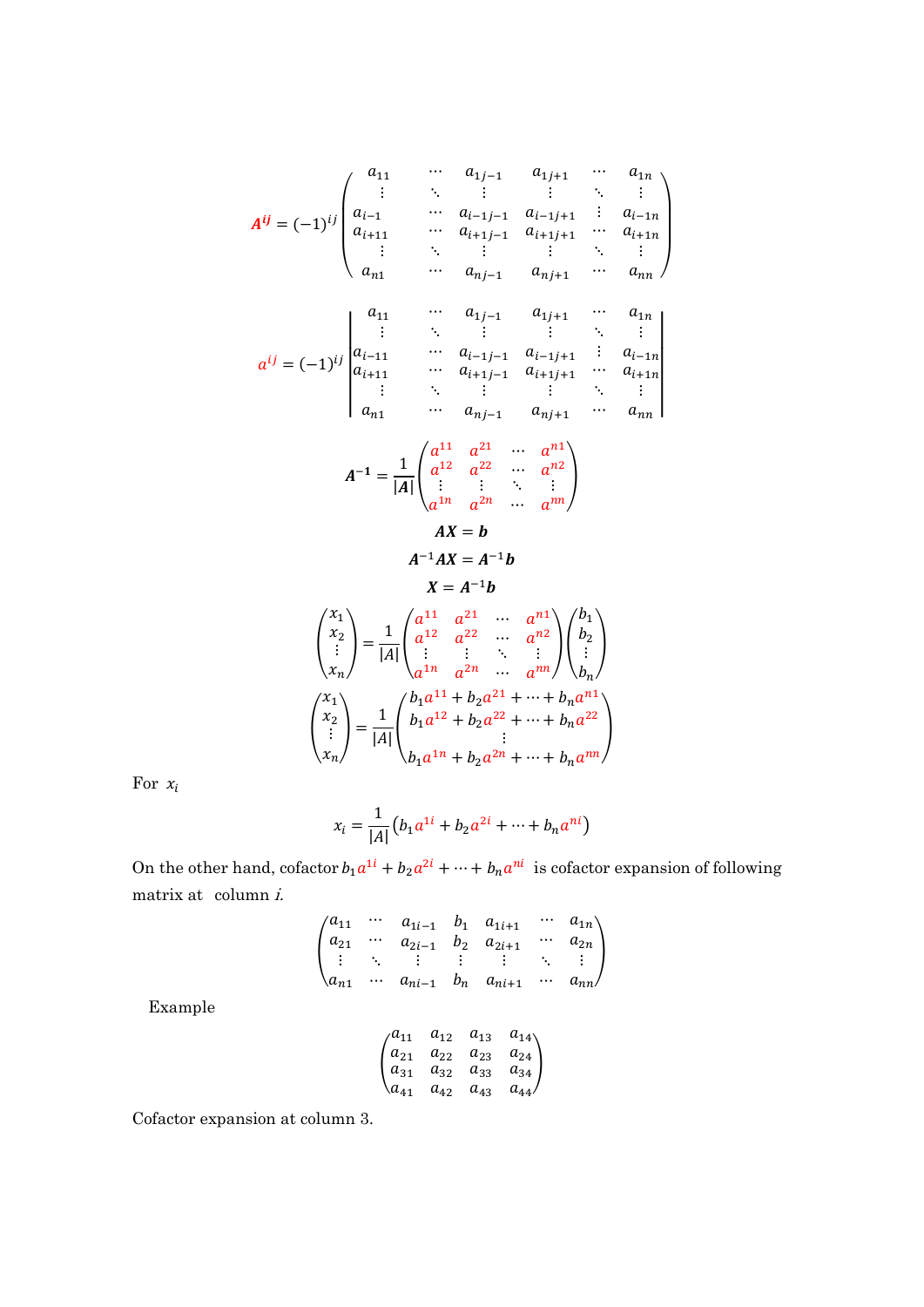$$
A^{ij} = (-1)^{ij} \begin{pmatrix} a_{11} & \cdots & a_{1j-1} & a_{1j+1} & \cdots & a_{1n} \\ \vdots & \ddots & \vdots & \vdots & \ddots & \vdots \\ a_{i-1} & \cdots & a_{i-1j-1} & a_{i-1j+1} & \vdots & a_{i-1n} \\ a_{i+11} & \cdots & a_{i+1j-1} & a_{i+1j+1} & \cdots & a_{i+1n} \\ \vdots & \ddots & \vdots & \vdots & \ddots & \vdots \\ a_{n1} & \cdots & a_{nj-1} & a_{nj+1} & \cdots & a_{nn} \end{pmatrix}
$$

$$
a^{ij} = (-1)^{ij} \begin{vmatrix} a_{11} & \cdots & a_{1j-1} & a_{1j+1} & \cdots & a_{1n} \\ a_{i-11} & \cdots & a_{i-1j-1} & a_{i-1j+1} & \vdots & a_{i-1n} \\ a_{i+11} & \cdots & a_{i+1j-1} & a_{i+1j+1} & \cdots & a_{i+1n} \\ \vdots & \ddots & \vdots & \vdots & \ddots & \vdots \\ a_{n1} & \cdots & a_{nj-1} & a_{nj+1} & \cdots & a_{nn} \end{pmatrix}
$$

$$
A^{-1} = \frac{1}{|A|} \begin{pmatrix} a^{11} & a^{21} & \cdots & a^{n1} \\ a^{12} & a^{22} & \cdots & a^{n2} \\ \vdots & \vdots & \ddots & \vdots \\ a^{1n} & a^{2n} & \cdots & a^{nn} \end{pmatrix}
$$

$$
AX = b
$$

$$
A^{-1}AX=A^{-1}b
$$

$$
X=A^{-1}b
$$

$$
\begin{pmatrix} x_1 \\ x_2 \\ \vdots \\ x_n \end{pmatrix} = \frac{1}{|A|} \begin{pmatrix} a^{11} & a^{21} & \cdots & a^{n1} \\ a^{12} & a^{22} & \cdots & a^{n2} \\ \vdots & \vdots & \ddots & \vdots \\ a^{1n} & a^{2n} & \cdots & a^{nn} \end{pmatrix} \begin{pmatrix} b_1 \\ b_2 \\ \vdots \\ b_n \end{pmatrix}
$$

$$
\begin{pmatrix} x_1 \\ x_2 \\ \vdots \\ x_n \end{pmatrix} = \frac{1}{|A|} \begin{pmatrix} b_1 a^{11} + b_2 a^{21} + \cdots + b_n a^{n1} \\ b_1 a^{12} + b_2 a^{22} + \cdots + b_n a^{22} \\ \vdots \\ b_1 a^{1n} + b_2 a^{2n} + \cdots + b_n a^{nn} \end{pmatrix}
$$

For  $\boldsymbol{x}_i$ 

$$
x_i = \frac{1}{|A|} (b_1 a^{1i} + b_2 a^{2i} + \dots + b_n a^{ni})
$$

On the other hand, cofactor  $b_1 a^{1i} + b_2 a^{2i} + \cdots + b_n a^{ni}$  is cofactor expansion of following matrix at  $\operatorname{column} i$ .

$$
\begin{pmatrix} a_{11} & \cdots & a_{1i-1} & b_1 & a_{1i+1} & \cdots & a_{1n} \\ a_{21} & \cdots & a_{2i-1} & b_2 & a_{2i+1} & \cdots & a_{2n} \\ \vdots & \ddots & \vdots & \vdots & \vdots & \ddots & \vdots \\ a_{n1} & \cdots & a_{ni-1} & b_n & a_{ni+1} & \cdots & a_{nn} \end{pmatrix}
$$

Example

$$
\begin{pmatrix} a_{11} & a_{12} & a_{13} & a_{14} \\ a_{21} & a_{22} & a_{23} & a_{24} \\ a_{31} & a_{32} & a_{33} & a_{34} \\ a_{41} & a_{42} & a_{43} & a_{44} \end{pmatrix}
$$

Cofactor expansion at column 3.